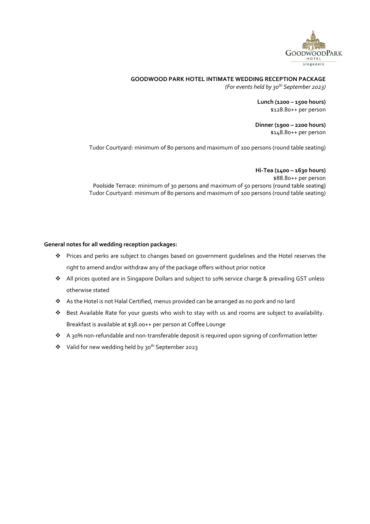

#### **GOODWOOD PARK HOTEL INTIMATE WEDDING RECEPTION PACKAGE**

*(For events held by 30th September 2023)*

**Lunch (1200 – 1500 hours)** \$128.80++ per person

**Dinner (1900 – 2200 hours)** \$148.80++ per person

Tudor Courtyard: minimum of 80 persons and maximum of 100 persons (round table seating)

**Hi-Tea (1400 – 1630 hours)** \$88.80++ per person Poolside Terrace: minimum of 30 persons and maximum of 50 persons (round table seating) Tudor Courtyard: minimum of 80 persons and maximum of 100 persons (round table seating)

#### **General notes for all wedding reception packages:**

- \* Prices and perks are subject to changes based on government guidelines and the Hotel reserves the right to amend and/or withdraw any of the package offers without prior notice
- All prices quoted are in Singapore Dollars and subject to 10% service charge & prevailing GST unless otherwise stated
- As the Hotel is not Halal Certified, menus provided can be arranged as no pork and no lard
- Best Available Rate for your guests who wish to stay with us and rooms are subject to availability. Breakfast is available at \$38.00++ per person at Coffee Lounge
- A 30% non-refundable and non-transferable deposit is required upon signing of confirmation letter
- ◆ Valid for new wedding held by 30<sup>th</sup> September 2023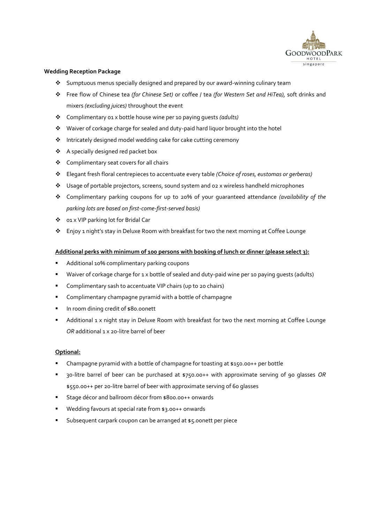

#### **Wedding Reception Package**

- Sumptuous menus specially designed and prepared by our award-winning culinary team
- Free flow of Chinese tea *(for Chinese Set)* or coffee / tea *(for Western Set and HiTea),* soft drinks and mixers *(excluding juices)* throughout the event
- Complimentary 01 x bottle house wine per 10 paying guests *(adults)*
- Waiver of corkage charge for sealed and duty-paid hard liquor brought into the hotel
- Intricately designed model wedding cake for cake cutting ceremony
- A specially designed red packet box
- Complimentary seat covers for all chairs
- Elegant fresh floral centrepieces to accentuate every table *(Choice of roses, eustomas or gerberas)*
- Usage of portable projectors, screens, sound system and 02 x wireless handheld microphones
- Complimentary parking coupons for up to 20% of your guaranteed attendance *(availability of the parking lots are based on first-come-first-served basis)*
- 01 x VIP parking lot for Bridal Car
- Enjoy 1 night's stay in Deluxe Room with breakfast for two the next morning at Coffee Lounge

#### **Additional perks with minimum of 100 persons with booking of lunch or dinner (please select 3):**

- **Additional 10% complimentary parking coupons**
- Waiver of corkage charge for 1 x bottle of sealed and duty-paid wine per 10 paying guests (adults)
- **Complimentary sash to accentuate VIP chairs (up to 20 chairs)**
- Complimentary champagne pyramid with a bottle of champagne
- In room dining credit of \$80.00nett
- Additional 1 x night stay in Deluxe Room with breakfast for two the next morning at Coffee Lounge *OR* additional 1 x 20-litre barrel of beer

#### **Optional:**

- Champagne pyramid with a bottle of champagne for toasting at \$150.00++ per bottle
- 30-litre barrel of beer can be purchased at \$750.00++ with approximate serving of 90 glasses *OR* \$550.00++ per 20-litre barrel of beer with approximate serving of 60 glasses
- Stage décor and ballroom décor from \$800.00++ onwards
- Wedding favours at special rate from \$3.00++ onwards
- Subsequent carpark coupon can be arranged at \$5.00nett per piece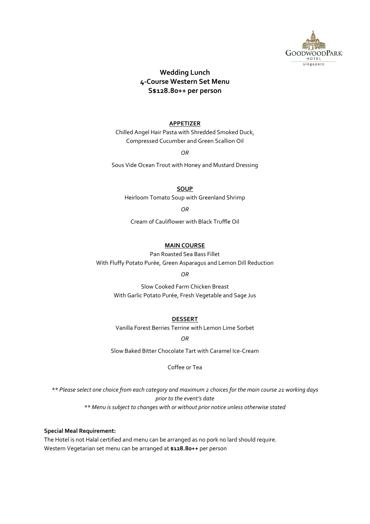

# **Wedding Lunch 4-Course Western Set Menu S\$128.80++ per person**

## **APPETIZER**

Chilled Angel Hair Pasta with Shredded Smoked Duck, Compressed Cucumber and Green Scallion Oil

*OR*

Sous Vide Ocean Trout with Honey and Mustard Dressing

**SOUP**

Heirloom Tomato Soup with Greenland Shrimp

*OR*

Cream of Cauliflower with Black Truffle Oil

## **MAIN COURSE**

Pan Roasted Sea Bass Fillet With Fluffy Potato Purée, Green Asparagus and Lemon Dill Reduction

*OR*

Slow Cooked Farm Chicken Breast With Garlic Potato Purée, Fresh Vegetable and Sage Jus

**DESSERT**

Vanilla Forest Berries Terrine with Lemon Lime Sorbet

*OR*

Slow Baked Bitter Chocolate Tart with Caramel Ice-Cream

Coffee or Tea

*\*\* Please select one choice from each category and maximum 2 choices for the main course 21 working days prior to the event's date \*\* Menu is subject to changes with or without prior notice unless otherwise stated*

#### **Special Meal Requirement:**

The Hotel is not Halal certified and menu can be arranged as no pork no lard should require. Western Vegetarian set menu can be arranged at **\$128.80++** per person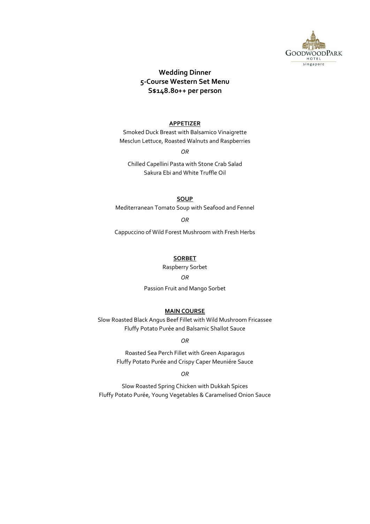

# **Wedding Dinner 5-Course Western Set Menu S\$148.80++ per person**

#### **APPETIZER**

Smoked Duck Breast with Balsamico Vinaigrette Mesclun Lettuce, Roasted Walnuts and Raspberries

*OR*

Chilled Capellini Pasta with Stone Crab Salad Sakura Ebi and White Truffle Oil

**SOUP**

Mediterranean Tomato Soup with Seafood and Fennel

*OR*

Cappuccino of Wild Forest Mushroom with Fresh Herbs

#### **SORBET**

Raspberry Sorbet

#### *OR*

Passion Fruit and Mango Sorbet

### **MAIN COURSE**

Slow Roasted Black Angus Beef Fillet with Wild Mushroom Fricassee Fluffy Potato Purée and Balsamic Shallot Sauce

*OR*

Roasted Sea Perch Fillet with Green Asparagus Fluffy Potato Purée and Crispy Caper Meuniére Sauce

*OR*

Slow Roasted Spring Chicken with Dukkah Spices Fluffy Potato Purée, Young Vegetables & Caramelised Onion Sauce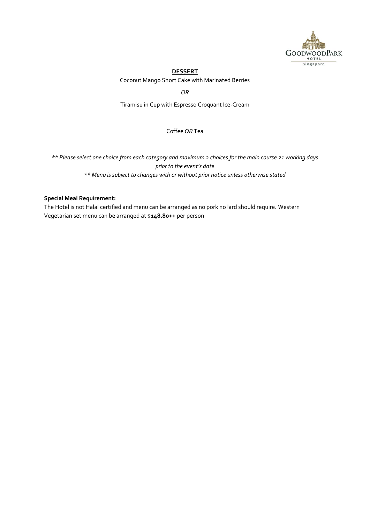

## **DESSERT**

Coconut Mango Short Cake with Marinated Berries

*OR*

Tiramisu in Cup with Espresso Croquant Ice-Cream

Coffee *OR* Tea

*\*\* Please select one choice from each category and maximum 2 choices for the main course 21 working days prior to the event's date \*\* Menu is subject to changes with or without prior notice unless otherwise stated*

## **Special Meal Requirement:**

The Hotel is not Halal certified and menu can be arranged as no pork no lard should require. Western Vegetarian set menu can be arranged at **\$148.80++** per person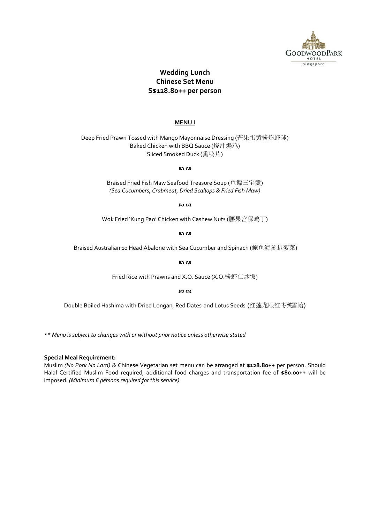

# **Wedding Lunch Chinese Set Menu S\$128.80++ per person**

#### **MENU I**

Deep Fried Prawn Tossed with Mango Mayonnaise Dressing (芒果蛋黄酱炸虾球) Baked Chicken with BBQ Sauce (烧汁焗鸡) Sliced Smoked Duck (熏鸭片)

മെയ

Braised Fried Fish Maw Seafood Treasure Soup (鱼鳔三宝羹) *(Sea Cucumbers, Crabmeat, Dried Scallops & Fried Fish Maw)*

෨෬෭

Wok Fried 'Kung Pao' Chicken with Cashew Nuts (腰果宫保鸡丁)

න ශ

Braised Australian 10 Head Abalone with Sea Cucumber and Spinach (鲍鱼海参扒菠菜)

အက

Fried Rice with Prawns and X.O. Sauce (X.O.酱虾仁炒饭)

ഐറ

Double Boiled Hashima with Dried Longan, Red Dates and Lotus Seeds (红莲龙眼红枣炖雪蛤)

*\*\* Menu is subject to changes with or without prior notice unless otherwise stated*

#### **Special Meal Requirement:**

Muslim *(No Pork No Lard)* & Chinese Vegetarian set menu can be arranged at **\$128.80++** per person. Should Halal Certified Muslim Food required, additional food charges and transportation fee of **\$80.00++** will be imposed. *(Minimum 6 persons required for this service)*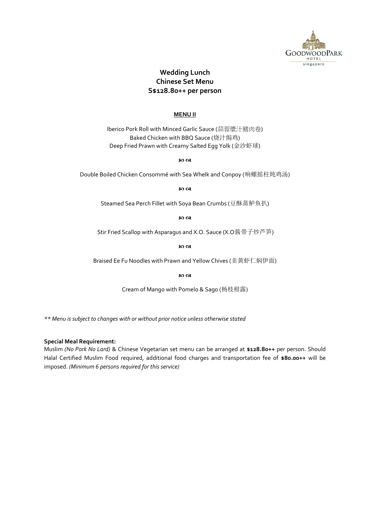

# **Wedding Lunch Chinese Set Menu S\$128.80++ per person**

### **MENU II**

Iberico Pork Roll with Minced Garlic Sauce (蒜蓉漿汁豬肉卷) Baked Chicken with BBQ Sauce (烧汁焗鸡) Deep Fried Prawn with Creamy Salted Egg Yolk (金沙虾球)

ත ශ

Double Boiled Chicken Consommé with Sea Whelk and Conpoy (响螺摇柱炖鸡汤)

so os

Steamed Sea Perch Fillet with Soya Bean Crumbs (豆酥蒸鲈鱼扒)

ഐറ

Stir Fried Scallop with Asparagus and X.O. Sauce (X.O酱带子炒芦笋)

တက်<br>လ

Braised Ee Fu Noodles with Prawn and Yellow Chives (韭黄虾仁焖伊面)

so ce

Cream of Mango with Pomelo & Sago (杨枝柑露)

*\*\* Menu is subject to changes with or without prior notice unless otherwise stated*

### **Special Meal Requirement:**

Muslim *(No Pork No Lard)* & Chinese Vegetarian set menu can be arranged at **\$128.80++** per person. Should Halal Certified Muslim Food required, additional food charges and transportation fee of **\$80.00++** will be imposed. *(Minimum 6 persons required for this service)*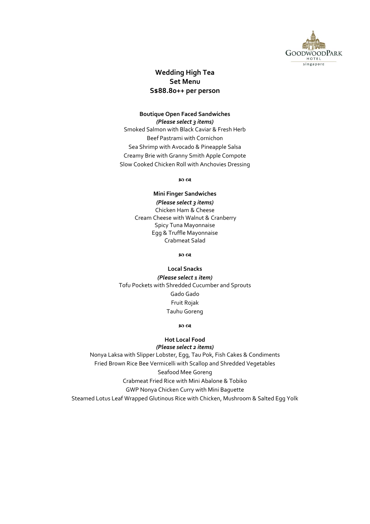

## **Wedding High Tea Set Menu S\$88.80++ per person**

## **Boutique Open Faced Sandwiches** *(Please select 3 items)*

Smoked Salmon with Black Caviar & Fresh Herb Beef Pastrami with Cornichon Sea Shrimp with Avocado & Pineapple Salsa Creamy Brie with Granny Smith Apple Compote Slow Cooked Chicken Roll with Anchovies Dressing

**so ca** 

## **Mini Finger Sandwiches** *(Please select 3 items)* Chicken Ham & Cheese Cream Cheese with Walnut & Cranberry Spicy Tuna Mayonnaise Egg & Truffle Mayonnaise Crabmeat Salad

ත ශ

## **Local Snacks**

*(Please select 1 item)* Tofu Pockets with Shredded Cucumber and Sprouts Gado Gado Fruit Rojak Tauhu Goreng

### ഐ ക

### **Hot Local Food** *(Please select 2 items)*

Nonya Laksa with Slipper Lobster, Egg, Tau Pok, Fish Cakes & Condiments Fried Brown Rice Bee Vermicelli with Scallop and Shredded Vegetables Seafood Mee Goreng Crabmeat Fried Rice with Mini Abalone & Tobiko GWP Nonya Chicken Curry with Mini Baguette Steamed Lotus Leaf Wrapped Glutinous Rice with Chicken, Mushroom & Salted Egg Yolk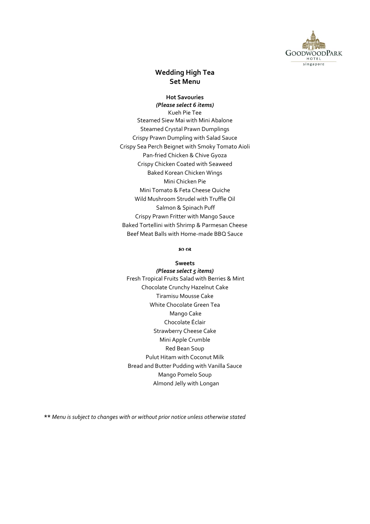

# **Wedding High Tea Set Menu**

# **Hot Savouries**

*(Please select 6 items)* Kueh Pie Tee Steamed Siew Mai with Mini Abalone Steamed Crystal Prawn Dumplings Crispy Prawn Dumpling with Salad Sauce Crispy Sea Perch Beignet with Smoky Tomato Aioli Pan-fried Chicken & Chive Gyoza Crispy Chicken Coated with Seaweed Baked Korean Chicken Wings Mini Chicken Pie Mini Tomato & Feta Cheese Quiche Wild Mushroom Strudel with Truffle Oil Salmon & Spinach Puff Crispy Prawn Fritter with Mango Sauce Baked Tortellini with Shrimp & Parmesan Cheese Beef Meat Balls with Home-made BBQ Sauce

#### മെയ

**Sweets** *(Please select 5 items)* Fresh Tropical Fruits Salad with Berries & Mint Chocolate Crunchy Hazelnut Cake Tiramisu Mousse Cake White Chocolate Green Tea Mango Cake Chocolate Éclair Strawberry Cheese Cake Mini Apple Crumble Red Bean Soup Pulut Hitam with Coconut Milk Bread and Butter Pudding with Vanilla Sauce Mango Pomelo Soup Almond Jelly with Longan

**\*\*** *Menu is subject to changes with or without prior notice unless otherwise stated*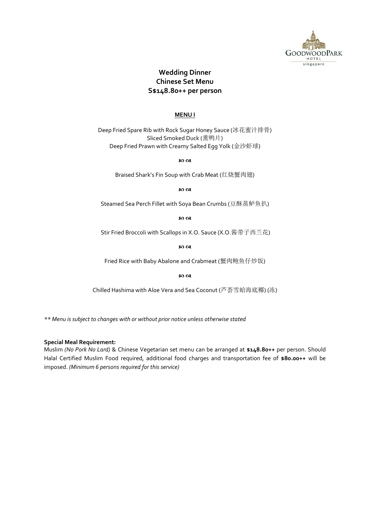

# **Wedding Dinner Chinese Set Menu S\$148.80++ per person**

## **MENU I**

Deep Fried Spare Rib with Rock Sugar Honey Sauce (冰花蜜汁排骨) Sliced Smoked Duck (熏鸭片) Deep Fried Prawn with Creamy Salted Egg Yolk (金沙虾球)

ත ශ

Braised Shark's Fin Soup with Crab Meat (红烧蟹肉翅)

80 QR

Steamed Sea Perch Fillet with Soya Bean Crumbs (豆酥蒸鲈鱼扒)

so os

Stir Fried Broccoli with Scallops in X.O. Sauce (X.O.酱带子西兰花)

ත ශ

Fried Rice with Baby Abalone and Crabmeat (蟹肉鲍鱼仔炒饭)

ත ශ

Chilled Hashima with Aloe Vera and Sea Coconut (芦荟雪蛤海底椰) (冻)

*\*\* Menu is subject to changes with or without prior notice unless otherwise stated*

### **Special Meal Requirement:**

Muslim *(No Pork No Lard)* & Chinese Vegetarian set menu can be arranged at **\$148.80++** per person. Should Halal Certified Muslim Food required, additional food charges and transportation fee of **\$80.00++** will be imposed. *(Minimum 6 persons required for this service)*